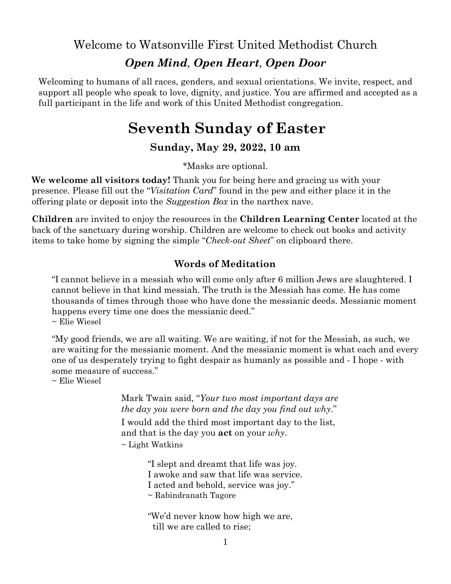Welcome to Watsonville First United Methodist Church

# *Open Mind, Open Heart, Open Door*

Welcoming to humans of all races, genders, and sexual orientations. We invite, respect, and support all people who speak to love, dignity, and justice. You are affirmed and accepted as a full participant in the life and work of this United Methodist congregation.

# **Seventh Sunday of Easter**

# **Sunday, May 29, 2022, 10 am**

\*Masks are optional.

**We welcome all visitors today!** Thank you for being here and gracing us with your presence. Please fill out the "*Visitation Card*" found in the pew and either place it in the offering plate or deposit into the *Suggestion Box* in the narthex nave.

**Children** are invited to enjoy the resources in the **Children Learning Center** located at the back of the sanctuary during worship. Children are welcome to check out books and activity items to take home by signing the simple "*Check-out Sheet*" on clipboard there.

## **Words of Meditation**

"I cannot believe in a messiah who will come only after 6 million Jews are slaughtered. I cannot believe in that kind messiah. The truth is the Messiah has come. He has come thousands of times through those who have done the messianic deeds. Messianic moment happens every time one does the messianic deed."  $\sim$  Elie Wiesel

"My good friends, we are all waiting. We are waiting, if not for the Messiah, as such, we are waiting for the messianic moment. And the messianic moment is what each and every one of us desperately trying to fight despair as humanly as possible and - I hope - with

some measure of success." ~ Elie Wiesel

> Mark Twain said, "*Your two most important days are the day you were born and the day you find out why*."

I would add the third most important day to the list, and that is the day you **act** on your *why*.

 $\sim$  Light Watkins

"I slept and dreamt that life was joy. I awoke and saw that life was service. I acted and behold, service was joy." ~ Rabindranath Tagore

"We'd never know how high we are, till we are called to rise;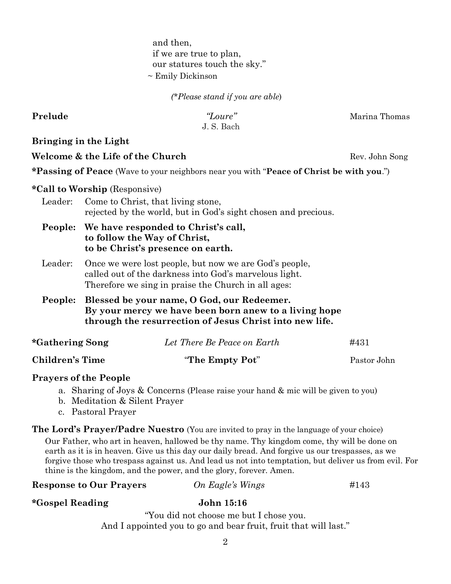and then, if we are true to plan, our statures touch the sky." ~ Emily Dickinson

*(\*Please stand if you are able*)

J. S. Bach

**Prelude** *<i>Prelude Prelude Prelude Marina Thomas* 

**Bringing in the Light**

**Welcome & the Life of the Church** Rev. John Song

**\*Passing of Peace** (Wave to your neighbors near you with "**Peace of Christ be with you**.")

### **\*Call to Worship** (Responsive)

- Leader: Come to Christ, that living stone, rejected by the world, but in God's sight chosen and precious.
- **People: We have responded to Christ's call, to follow the Way of Christ, to be Christ's presence on earth.**
- Leader: Once we were lost people, but now we are God's people, called out of the darkness into God's marvelous light. Therefore we sing in praise the Church in all ages:
- **People: Blessed be your name, O God, our Redeemer. By your mercy we have been born anew to a living hope through the resurrection of Jesus Christ into new life.**

| *Gathering Song | Let There Be Peace on Earth | #431        |
|-----------------|-----------------------------|-------------|
| Children's Time | "The Empty Pot"             | Pastor John |

### **Prayers of the People**

- a. Sharing of Joys & Concerns (Please raise your hand & mic will be given to you)
- b. Meditation & Silent Prayer
- c. Pastoral Prayer

**The Lord's Prayer/Padre Nuestro** (You are invited to pray in the language of your choice) Our Father, who art in heaven, hallowed be thy name. Thy kingdom come, thy will be done on earth as it is in heaven. Give us this day our daily bread. And forgive us our trespasses, as we forgive those who trespass against us. And lead us not into temptation, but deliver us from evil. For thine is the kingdom, and the power, and the glory, forever. Amen.

| <b>Response to Our Prayers</b> | On Eagle's Wings | #143 |
|--------------------------------|------------------|------|
|                                |                  |      |

### **\*Gospel Reading John 15:16**

"You did not choose me but I chose you. And I appointed you to go and bear fruit, fruit that will last."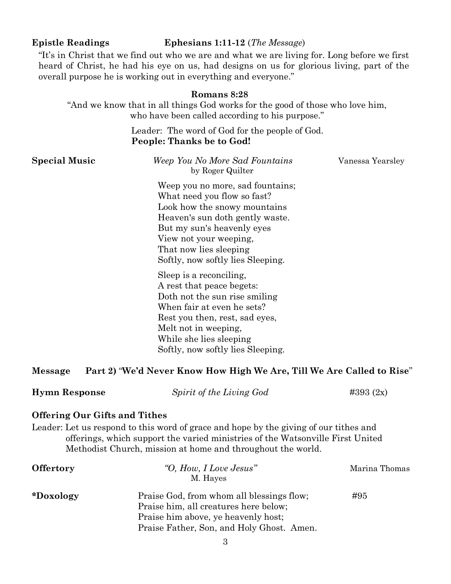### **Epistle Readings Ephesians 1:11-12** (*The Message*)

"It's in Christ that we find out who we are and what we are living for. Long before we first heard of Christ, he had his eye on us, had designs on us for glorious living, part of the overall purpose he is working out in everything and everyone."

# **Romans 8:28** "And we know that in all things God works for the good of those who love him, who have been called according to his purpose." Leader: The word of God for the people of God. **People: Thanks be to God! Special Music** *Weep You No More Sad Fountains Vanessa Yearsley* by Roger Quilter Weep you no more, sad fountains; What need you flow so fast? Look how the snowy mountains Heaven's sun doth gently waste. But my sun's heavenly eyes View not your weeping, That now lies sleeping Softly, now softly lies Sleeping. Sleep is a reconciling, A rest that peace begets: Doth not the sun rise smiling When fair at even he sets? Rest you then, rest, sad eyes, Melt not in weeping, While she lies sleeping Softly, now softly lies Sleeping.

### **Message Part 2)** "**We'd Never Know How High We Are, Till We Are Called to Rise**"

| <b>Hymn Response</b> | Spirit of the Living God | $\#393(2x)$ |
|----------------------|--------------------------|-------------|
|----------------------|--------------------------|-------------|

### **Offering Our Gifts and Tithes**

Leader: Let us respond to this word of grace and hope by the giving of our tithes and offerings, which support the varied ministries of the Watsonville First United Methodist Church, mission at home and throughout the world.

| <b>Offertory</b> | "O, How, I Love Jesus"<br>M. Hayes        | Marina Thomas |  |
|------------------|-------------------------------------------|---------------|--|
| *Doxology        | Praise God, from whom all blessings flow; | #95           |  |
|                  | Praise him, all creatures here below;     |               |  |
|                  | Praise him above, ye heavenly host;       |               |  |
|                  | Praise Father, Son, and Holy Ghost. Amen. |               |  |